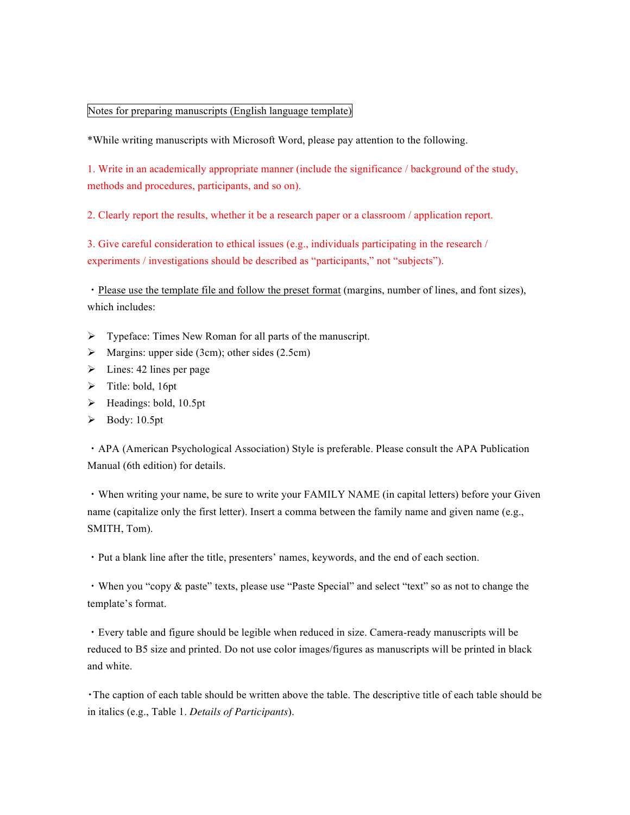## Notes for preparing manuscripts (English language template)

\*While writing manuscripts with Microsoft Word, please pay attention to the following.

1. Write in an academically appropriate manner (include the significance / background of the study, methods and procedures, participants, and so on).

2. Clearly report the results, whether it be a research paper or a classroom / application report.

3. Give careful consideration to ethical issues (e.g., individuals participating in the research / experiments / investigations should be described as "participants," not "subjects").

・Please use the template file and follow the preset format (margins, number of lines, and font sizes), which includes:

- $\triangleright$  Typeface: Times New Roman for all parts of the manuscript.
- $\triangleright$  Margins: upper side (3cm); other sides (2.5cm)
- $\triangleright$  Lines: 42 lines per page
- $\triangleright$  Title: bold, 16pt
- $\blacktriangleright$  Headings: bold, 10.5pt
- $\blacktriangleright$  Body: 10.5pt

・APA (American Psychological Association) Style is preferable. Please consult the APA Publication Manual (6th edition) for details.

・When writing your name, be sure to write your FAMILY NAME (in capital letters) before your Given name (capitalize only the first letter). Insert a comma between the family name and given name (e.g., SMITH, Tom).

・Put a blank line after the title, presenters' names, keywords, and the end of each section.

・When you "copy & paste" texts, please use "Paste Special" and select "text" so as not to change the template's format.

・Every table and figure should be legible when reduced in size. Camera-ready manuscripts will be reduced to B5 size and printed. Do not use color images/figures as manuscripts will be printed in black and white.

・The caption of each table should be written above the table. The descriptive title of each table should be in italics (e.g., Table 1. *Details of Participants*).